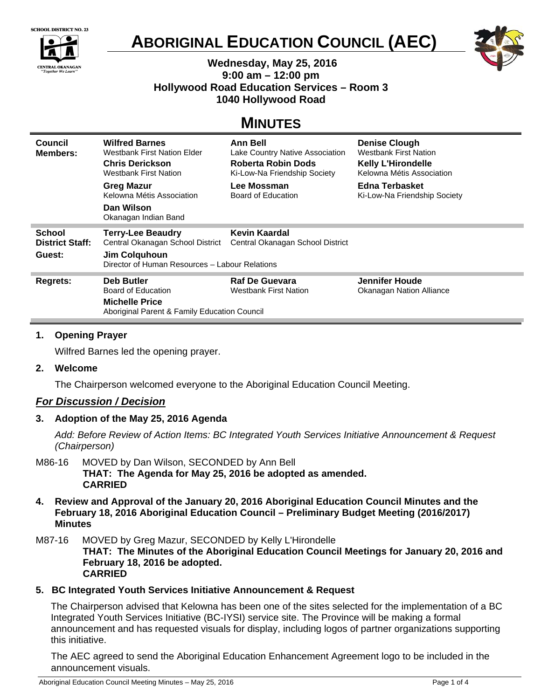



# **ABORIGINAL EDUCATION COUNCIL (AEC)**



## **Wednesday, May 25, 2016 9:00 am – 12:00 pm Hollywood Road Education Services – Room 3 1040 Hollywood Road**

## **MINUTES**

| <b>Council</b><br><b>Members:</b>       | <b>Wilfred Barnes</b><br><b>Westbank First Nation Elder</b><br><b>Chris Derickson</b><br>Westbank First Nation<br><b>Greg Mazur</b><br>Kelowna Métis Association | Ann Bell<br>Lake Country Native Association<br>Roberta Robin Dods<br>Ki-Low-Na Friendship Society<br>Lee Mossman<br>Board of Education | <b>Denise Clough</b><br><b>Westbank First Nation</b><br><b>Kelly L'Hirondelle</b><br>Kelowna Métis Association<br>Edna Terbasket<br>Ki-Low-Na Friendship Society |
|-----------------------------------------|------------------------------------------------------------------------------------------------------------------------------------------------------------------|----------------------------------------------------------------------------------------------------------------------------------------|------------------------------------------------------------------------------------------------------------------------------------------------------------------|
|                                         | Dan Wilson<br>Okanagan Indian Band                                                                                                                               |                                                                                                                                        |                                                                                                                                                                  |
| <b>School</b><br><b>District Staff:</b> | <b>Terry-Lee Beaudry</b><br>Central Okanagan School District                                                                                                     | Kevin Kaardal<br>Central Okanagan School District                                                                                      |                                                                                                                                                                  |
| Guest:                                  | Jim Colquhoun<br>Director of Human Resources - Labour Relations                                                                                                  |                                                                                                                                        |                                                                                                                                                                  |
| Regrets:                                | <b>Deb Butler</b>                                                                                                                                                | <b>Raf De Guevara</b>                                                                                                                  | Jennifer Houde                                                                                                                                                   |
|                                         | Board of Education                                                                                                                                               | <b>Westbank First Nation</b>                                                                                                           | Okanagan Nation Alliance                                                                                                                                         |
|                                         |                                                                                                                                                                  |                                                                                                                                        |                                                                                                                                                                  |
|                                         | <b>Michelle Price</b><br>Aboriginal Parent & Family Education Council                                                                                            |                                                                                                                                        |                                                                                                                                                                  |

## **1. Opening Prayer**

Wilfred Barnes led the opening prayer.

**2. Welcome** 

The Chairperson welcomed everyone to the Aboriginal Education Council Meeting.

## *For Discussion / Decision*

**3. Adoption of the May 25, 2016 Agenda** 

*Add: Before Review of Action Items: BC Integrated Youth Services Initiative Announcement & Request (Chairperson)* 

- M86-16 MOVED by Dan Wilson, SECONDED by Ann Bell **THAT: The Agenda for May 25, 2016 be adopted as amended. CARRIED**
- **4. Review and Approval of the January 20, 2016 Aboriginal Education Council Minutes and the February 18, 2016 Aboriginal Education Council – Preliminary Budget Meeting (2016/2017) Minutes**
- M87-16 MOVED by Greg Mazur, SECONDED by Kelly L'Hirondelle

**THAT: The Minutes of the Aboriginal Education Council Meetings for January 20, 2016 and February 18, 2016 be adopted. CARRIED**

## **5. BC Integrated Youth Services Initiative Announcement & Request**

The Chairperson advised that Kelowna has been one of the sites selected for the implementation of a BC Integrated Youth Services Initiative (BC-IYSI) service site. The Province will be making a formal announcement and has requested visuals for display, including logos of partner organizations supporting this initiative.

The AEC agreed to send the Aboriginal Education Enhancement Agreement logo to be included in the announcement visuals.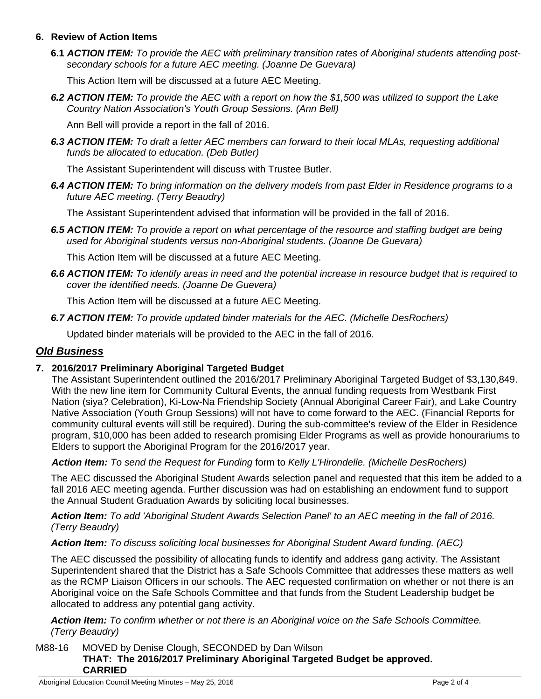#### **6. Review of Action Items**

**6.1** *ACTION ITEM: To provide the AEC with preliminary transition rates of Aboriginal students attending postsecondary schools for a future AEC meeting. (Joanne De Guevara)*

This Action Item will be discussed at a future AEC Meeting.

*6.2 ACTION ITEM: To provide the AEC with a report on how the \$1,500 was utilized to support the Lake Country Nation Association's Youth Group Sessions. (Ann Bell)* 

Ann Bell will provide a report in the fall of 2016.

*6.3 ACTION ITEM: To draft a letter AEC members can forward to their local MLAs, requesting additional funds be allocated to education. (Deb Butler)* 

The Assistant Superintendent will discuss with Trustee Butler.

*6.4 ACTION ITEM: To bring information on the delivery models from past Elder in Residence programs to a future AEC meeting. (Terry Beaudry)* 

The Assistant Superintendent advised that information will be provided in the fall of 2016.

*6.5 ACTION ITEM: To provide a report on what percentage of the resource and staffing budget are being used for Aboriginal students versus non-Aboriginal students. (Joanne De Guevara)* 

This Action Item will be discussed at a future AEC Meeting.

*6.6 ACTION ITEM: To identify areas in need and the potential increase in resource budget that is required to cover the identified needs. (Joanne De Guevera)* 

This Action Item will be discussed at a future AEC Meeting.

*6.7 ACTION ITEM: To provide updated binder materials for the AEC. (Michelle DesRochers)* 

Updated binder materials will be provided to the AEC in the fall of 2016.

## *Old Business*

#### **7. 2016/2017 Preliminary Aboriginal Targeted Budget**

The Assistant Superintendent outlined the 2016/2017 Preliminary Aboriginal Targeted Budget of \$3,130,849. With the new line item for Community Cultural Events, the annual funding requests from Westbank First Nation (siya? Celebration), Ki-Low-Na Friendship Society (Annual Aboriginal Career Fair), and Lake Country Native Association (Youth Group Sessions) will not have to come forward to the AEC. (Financial Reports for community cultural events will still be required). During the sub-committee's review of the Elder in Residence program, \$10,000 has been added to research promising Elder Programs as well as provide honourariums to Elders to support the Aboriginal Program for the 2016/2017 year.

*Action Item: To send the Request for Funding* form to *Kelly L'Hirondelle. (Michelle DesRochers)* 

The AEC discussed the Aboriginal Student Awards selection panel and requested that this item be added to a fall 2016 AEC meeting agenda. Further discussion was had on establishing an endowment fund to support the Annual Student Graduation Awards by soliciting local businesses.

*Action Item: To add 'Aboriginal Student Awards Selection Panel' to an AEC meeting in the fall of 2016. (Terry Beaudry)* 

#### *Action Item: To discuss soliciting local businesses for Aboriginal Student Award funding. (AEC)*

The AEC discussed the possibility of allocating funds to identify and address gang activity. The Assistant Superintendent shared that the District has a Safe Schools Committee that addresses these matters as well as the RCMP Liaison Officers in our schools. The AEC requested confirmation on whether or not there is an Aboriginal voice on the Safe Schools Committee and that funds from the Student Leadership budget be allocated to address any potential gang activity.

*Action Item: To confirm whether or not there is an Aboriginal voice on the Safe Schools Committee. (Terry Beaudry)* 

M88-16 MOVED by Denise Clough, SECONDED by Dan Wilson **THAT: The 2016/2017 Preliminary Aboriginal Targeted Budget be approved. CARRIED**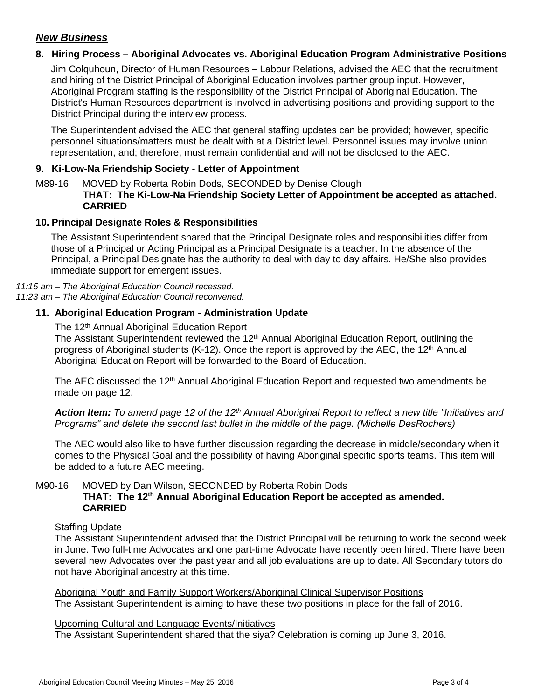## *New Business*

## **8. Hiring Process – Aboriginal Advocates vs. Aboriginal Education Program Administrative Positions**

Jim Colquhoun, Director of Human Resources – Labour Relations, advised the AEC that the recruitment and hiring of the District Principal of Aboriginal Education involves partner group input. However, Aboriginal Program staffing is the responsibility of the District Principal of Aboriginal Education. The District's Human Resources department is involved in advertising positions and providing support to the District Principal during the interview process.

The Superintendent advised the AEC that general staffing updates can be provided; however, specific personnel situations/matters must be dealt with at a District level. Personnel issues may involve union representation, and; therefore, must remain confidential and will not be disclosed to the AEC.

#### **9. Ki-Low-Na Friendship Society - Letter of Appointment**

#### M89-16 MOVED by Roberta Robin Dods, SECONDED by Denise Clough **THAT: The Ki-Low-Na Friendship Society Letter of Appointment be accepted as attached. CARRIED**

#### **10. Principal Designate Roles & Responsibilities**

The Assistant Superintendent shared that the Principal Designate roles and responsibilities differ from those of a Principal or Acting Principal as a Principal Designate is a teacher. In the absence of the Principal, a Principal Designate has the authority to deal with day to day affairs. He/She also provides immediate support for emergent issues.

#### *11:15 am – The Aboriginal Education Council recessed. 11:23 am – The Aboriginal Education Council reconvened.*

#### **11. Aboriginal Education Program - Administration Update**

#### The 12<sup>th</sup> Annual Aboriginal Education Report

The Assistant Superintendent reviewed the 12<sup>th</sup> Annual Aboriginal Education Report, outlining the progress of Aboriginal students (K-12). Once the report is approved by the AEC, the 12<sup>th</sup> Annual Aboriginal Education Report will be forwarded to the Board of Education.

The AEC discussed the 12<sup>th</sup> Annual Aboriginal Education Report and requested two amendments be made on page 12.

Action Item: To amend page 12 of the 12<sup>th</sup> Annual Aboriginal Report to reflect a new title "Initiatives and *Programs" and delete the second last bullet in the middle of the page. (Michelle DesRochers)* 

The AEC would also like to have further discussion regarding the decrease in middle/secondary when it comes to the Physical Goal and the possibility of having Aboriginal specific sports teams. This item will be added to a future AEC meeting.

#### M90-16 MOVED by Dan Wilson, SECONDED by Roberta Robin Dods **THAT: The 12th Annual Aboriginal Education Report be accepted as amended. CARRIED**

#### **Staffing Update**

The Assistant Superintendent advised that the District Principal will be returning to work the second week in June. Two full-time Advocates and one part-time Advocate have recently been hired. There have been several new Advocates over the past year and all job evaluations are up to date. All Secondary tutors do not have Aboriginal ancestry at this time.

Aboriginal Youth and Family Support Workers/Aboriginal Clinical Supervisor Positions The Assistant Superintendent is aiming to have these two positions in place for the fall of 2016.

#### Upcoming Cultural and Language Events/Initiatives

The Assistant Superintendent shared that the siya? Celebration is coming up June 3, 2016.